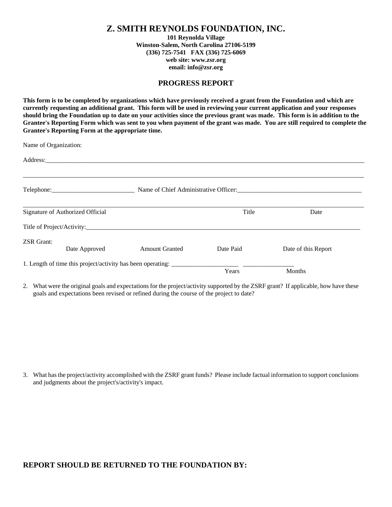## **Z. SMITH REYNOLDS FOUNDATION, INC.**

**101 Reynolda Village Winston-Salem, North Carolina 27106-5199 (336) 725-7541 FAX (336) 725-6069 web site: www.zsr.org email: info@zsr.org** 

## **PROGRESS REPORT**

**This form is to be completed by organizations which have previously received a grant from the Foundation and which are currently requesting an additional grant. This form will be used in reviewing your current application and your responses should bring the Foundation up to date on your activities since the previous grant was made. This form is in addition to the Grantee's Reporting Form which was sent to you when payment of the grant was made. You are still required to complete the Grantee's Reporting Form at the appropriate time.** 

Name of Organization:

|                                  |               | Telephone: Name of Chief Administrative Officer: Name of Chief Administrative Officer: |           |                     |  |
|----------------------------------|---------------|----------------------------------------------------------------------------------------|-----------|---------------------|--|
| Signature of Authorized Official |               |                                                                                        | Title     | Date                |  |
|                                  |               |                                                                                        |           |                     |  |
| <b>ZSR</b> Grant:                | Date Approved | <b>Amount Granted</b>                                                                  | Date Paid | Date of this Report |  |
|                                  |               |                                                                                        | Years     | Months              |  |

2. What were the original goals and expectations for the project/activity supported by the ZSRF grant? If applicable, how have these goals and expectations been revised or refined during the course of the project to date?

3. What has the project/activity accomplished with the ZSRF grant funds? Please include factual information to support conclusions and judgments about the project's/activity's impact.

## **REPORT SHOULD BE RETURNED TO THE FOUNDATION BY:**